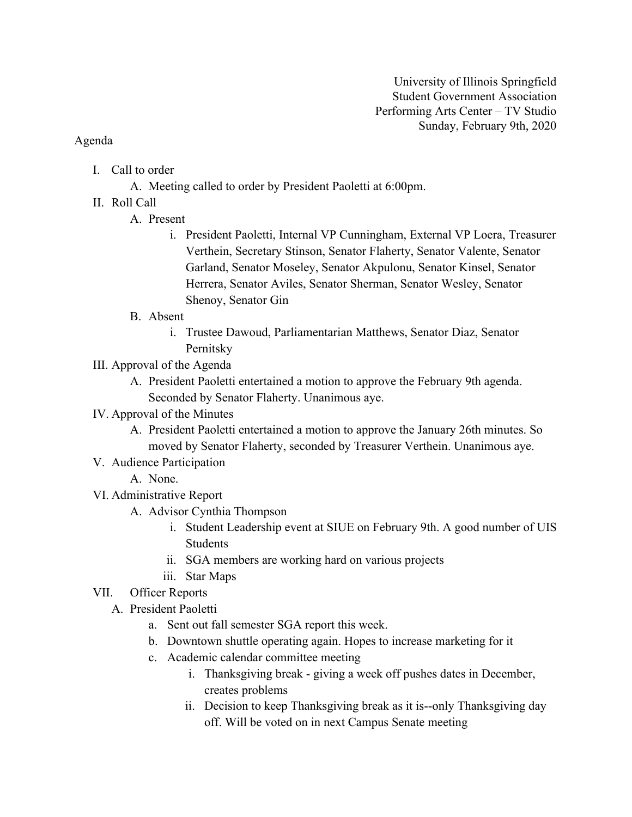## Agenda

- I. Call to order
	- A. Meeting called to order by President Paoletti at 6:00pm.
- II. Roll Call
	- A. Present
		- i. President Paoletti, Internal VP Cunningham, External VP Loera, Treasurer Verthein, Secretary Stinson, Senator Flaherty, Senator Valente, Senator Garland, Senator Moseley, Senator Akpulonu, Senator Kinsel, Senator Herrera, Senator Aviles, Senator Sherman, Senator Wesley, Senator Shenoy, Senator Gin
	- B. Absent
		- i. Trustee Dawoud, Parliamentarian Matthews, Senator Diaz, Senator Pernitsky
- III. Approval of the Agenda
	- A. President Paoletti entertained a motion to approve the February 9th agenda. Seconded by Senator Flaherty. Unanimous aye.
- IV. Approval of the Minutes
	- A. President Paoletti entertained a motion to approve the January 26th minutes. So moved by Senator Flaherty, seconded by Treasurer Verthein. Unanimous aye.
- V. Audience Participation
	- A. None.
- VI. Administrative Report
	- A. Advisor Cynthia Thompson
		- i. Student Leadership event at SIUE on February 9th. A good number of UIS Students
		- ii. SGA members are working hard on various projects
		- iii. Star Maps
- VII. Officer Reports
	- A. President Paoletti
		- a. Sent out fall semester SGA report this week.
		- b. Downtown shuttle operating again. Hopes to increase marketing for it
		- c. Academic calendar committee meeting
			- i. Thanksgiving break giving a week off pushes dates in December, creates problems
			- ii. Decision to keep Thanksgiving break as it is--only Thanksgiving day off. Will be voted on in next Campus Senate meeting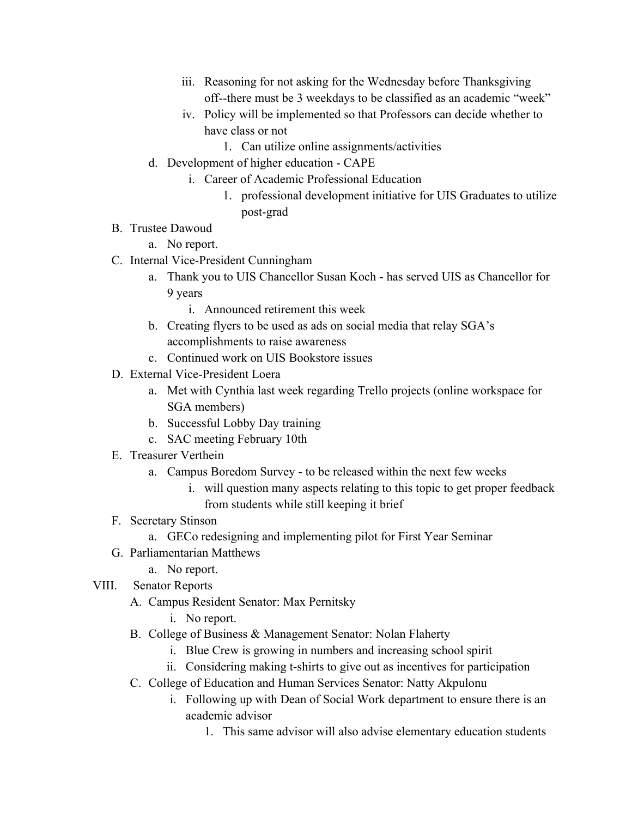- iii. Reasoning for not asking for the Wednesday before Thanksgiving off--there must be 3 weekdays to be classified as an academic "week"
- iv. Policy will be implemented so that Professors can decide whether to have class or not
	- 1. Can utilize online assignments/activities
- d. Development of higher education CAPE
	- i. Career of Academic Professional Education
		- 1. professional development initiative for UIS Graduates to utilize post-grad
- B. Trustee Dawoud
	- a. No report.
- C. Internal Vice-President Cunningham
	- a. Thank you to UIS Chancellor Susan Koch has served UIS as Chancellor for 9 years
		- i. Announced retirement this week
	- b. Creating flyers to be used as ads on social media that relay SGA's accomplishments to raise awareness
	- c. Continued work on UIS Bookstore issues
- D. External Vice-President Loera
	- a. Met with Cynthia last week regarding Trello projects (online workspace for SGA members)
	- b. Successful Lobby Day training
	- c. SAC meeting February 10th
- E. Treasurer Verthein
	- a. Campus Boredom Survey to be released within the next few weeks
		- i. will question many aspects relating to this topic to get proper feedback from students while still keeping it brief
- F. Secretary Stinson
	- a. GECo redesigning and implementing pilot for First Year Seminar
- G. Parliamentarian Matthews
	- a. No report.
- VIII. Senator Reports
	- A. Campus Resident Senator: Max Pernitsky
		- i. No report.
	- B. College of Business & Management Senator: Nolan Flaherty
		- i. Blue Crew is growing in numbers and increasing school spirit
		- ii. Considering making t-shirts to give out as incentives for participation
	- C. College of Education and Human Services Senator: Natty Akpulonu
		- i. Following up with Dean of Social Work department to ensure there is an academic advisor
			- 1. This same advisor will also advise elementary education students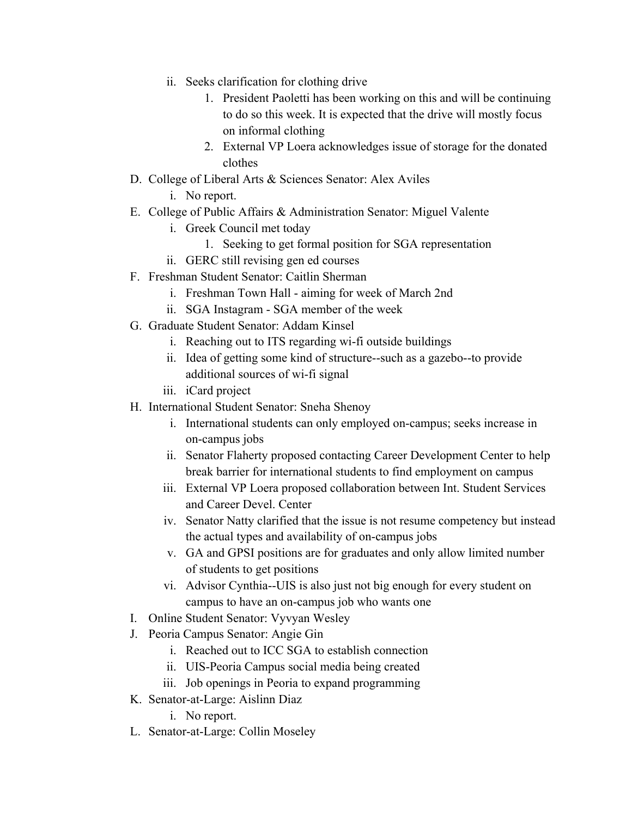- ii. Seeks clarification for clothing drive
	- 1. President Paoletti has been working on this and will be continuing to do so this week. It is expected that the drive will mostly focus on informal clothing
	- 2. External VP Loera acknowledges issue of storage for the donated clothes
- D. College of Liberal Arts & Sciences Senator: Alex Aviles
	- i. No report.
- E. College of Public Affairs & Administration Senator: Miguel Valente
	- i. Greek Council met today
		- 1. Seeking to get formal position for SGA representation
	- ii. GERC still revising gen ed courses
- F. Freshman Student Senator: Caitlin Sherman
	- i. Freshman Town Hall aiming for week of March 2nd
	- ii. SGA Instagram SGA member of the week
- G. Graduate Student Senator: Addam Kinsel
	- i. Reaching out to ITS regarding wi-fi outside buildings
	- ii. Idea of getting some kind of structure--such as a gazebo--to provide additional sources of wi-fi signal
	- iii. iCard project
- H. International Student Senator: Sneha Shenoy
	- i. International students can only employed on-campus; seeks increase in on-campus jobs
	- ii. Senator Flaherty proposed contacting Career Development Center to help break barrier for international students to find employment on campus
	- iii. External VP Loera proposed collaboration between Int. Student Services and Career Devel. Center
	- iv. Senator Natty clarified that the issue is not resume competency but instead the actual types and availability of on-campus jobs
	- v. GA and GPSI positions are for graduates and only allow limited number of students to get positions
	- vi. Advisor Cynthia--UIS is also just not big enough for every student on campus to have an on-campus job who wants one
- I. Online Student Senator: Vyvyan Wesley
- J. Peoria Campus Senator: Angie Gin
	- i. Reached out to ICC SGA to establish connection
	- ii. UIS-Peoria Campus social media being created
	- iii. Job openings in Peoria to expand programming
- K. Senator-at-Large: Aislinn Diaz
	- i. No report.
- L. Senator-at-Large: Collin Moseley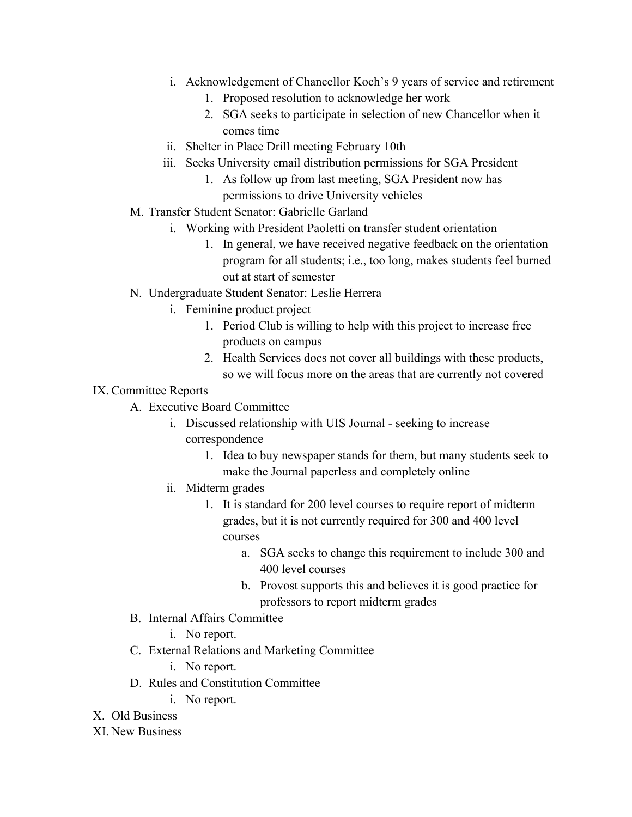- i. Acknowledgement of Chancellor Koch's 9 years of service and retirement
	- 1. Proposed resolution to acknowledge her work
	- 2. SGA seeks to participate in selection of new Chancellor when it comes time
- ii. Shelter in Place Drill meeting February 10th
- iii. Seeks University email distribution permissions for SGA President
	- 1. As follow up from last meeting, SGA President now has permissions to drive University vehicles
- M. Transfer Student Senator: Gabrielle Garland
	- i. Working with President Paoletti on transfer student orientation
		- 1. In general, we have received negative feedback on the orientation program for all students; i.e., too long, makes students feel burned out at start of semester
- N. Undergraduate Student Senator: Leslie Herrera
	- i. Feminine product project
		- 1. Period Club is willing to help with this project to increase free products on campus
		- 2. Health Services does not cover all buildings with these products, so we will focus more on the areas that are currently not covered

## IX. Committee Reports

- A. Executive Board Committee
	- i. Discussed relationship with UIS Journal seeking to increase correspondence
		- 1. Idea to buy newspaper stands for them, but many students seek to make the Journal paperless and completely online
	- ii. Midterm grades
		- 1. It is standard for 200 level courses to require report of midterm grades, but it is not currently required for 300 and 400 level courses
			- a. SGA seeks to change this requirement to include 300 and 400 level courses
			- b. Provost supports this and believes it is good practice for professors to report midterm grades
- B. Internal Affairs Committee
	- i. No report.
- C. External Relations and Marketing Committee
	- i. No report.
- D. Rules and Constitution Committee
	- i. No report.
- X. Old Business
- XI. New Business